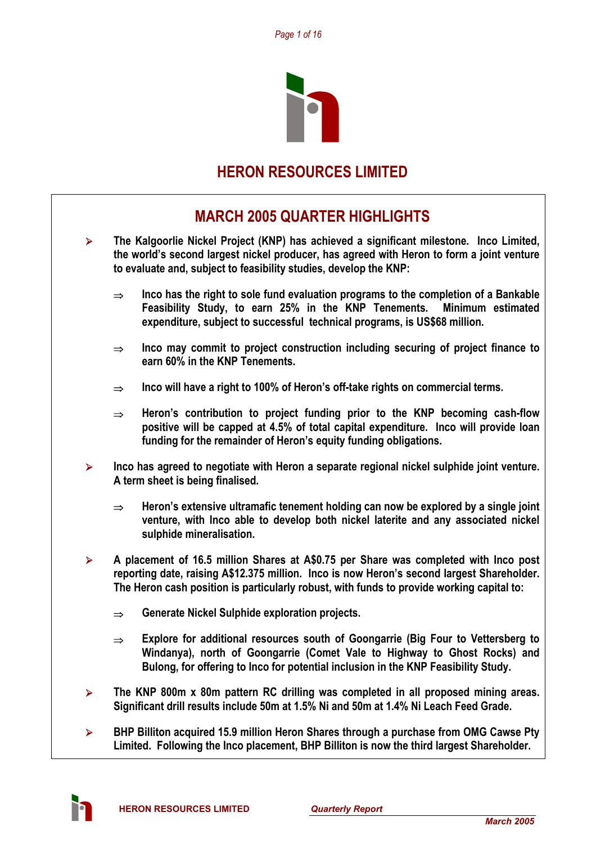

# **HERON RESOURCES LIMITED**

# **MARCH 2005 QUARTER HIGHLIGHTS**

- ¾ **The Kalgoorlie Nickel Project (KNP) has achieved a significant milestone. Inco Limited, the world's second largest nickel producer, has agreed with Heron to form a joint venture to evaluate and, subject to feasibility studies, develop the KNP:** 
	- ⇒ **Inco has the right to sole fund evaluation programs to the completion of a Bankable Feasibility Study, to earn 25% in the KNP Tenements. Minimum estimated expenditure, subject to successful technical programs, is US\$68 million.**
	- ⇒ **Inco may commit to project construction including securing of project finance to earn 60% in the KNP Tenements.**
	- ⇒ **Inco will have a right to 100% of Heron's off-take rights on commercial terms.**
	- ⇒ **Heron's contribution to project funding prior to the KNP becoming cash-flow positive will be capped at 4.5% of total capital expenditure. Inco will provide loan funding for the remainder of Heron's equity funding obligations.**
- ¾ **Inco has agreed to negotiate with Heron a separate regional nickel sulphide joint venture. A term sheet is being finalised.** 
	- ⇒ **Heron's extensive ultramafic tenement holding can now be explored by a single joint venture, with Inco able to develop both nickel laterite and any associated nickel sulphide mineralisation.**
- ¾ **A placement of 16.5 million Shares at A\$0.75 per Share was completed with Inco post reporting date, raising A\$12.375 million. Inco is now Heron's second largest Shareholder. The Heron cash position is particularly robust, with funds to provide working capital to:** 
	- ⇒ **Generate Nickel Sulphide exploration projects.**
	- ⇒ **Explore for additional resources south of Goongarrie (Big Four to Vettersberg to Windanya), north of Goongarrie (Comet Vale to Highway to Ghost Rocks) and Bulong, for offering to Inco for potential inclusion in the KNP Feasibility Study.**
- ¾ **The KNP 800m x 80m pattern RC drilling was completed in all proposed mining areas. Significant drill results include 50m at 1.5% Ni and 50m at 1.4% Ni Leach Feed Grade.**
- ¾ **BHP Billiton acquired 15.9 million Heron Shares through a purchase from OMG Cawse Pty Limited. Following the Inco placement, BHP Billiton is now the third largest Shareholder.**

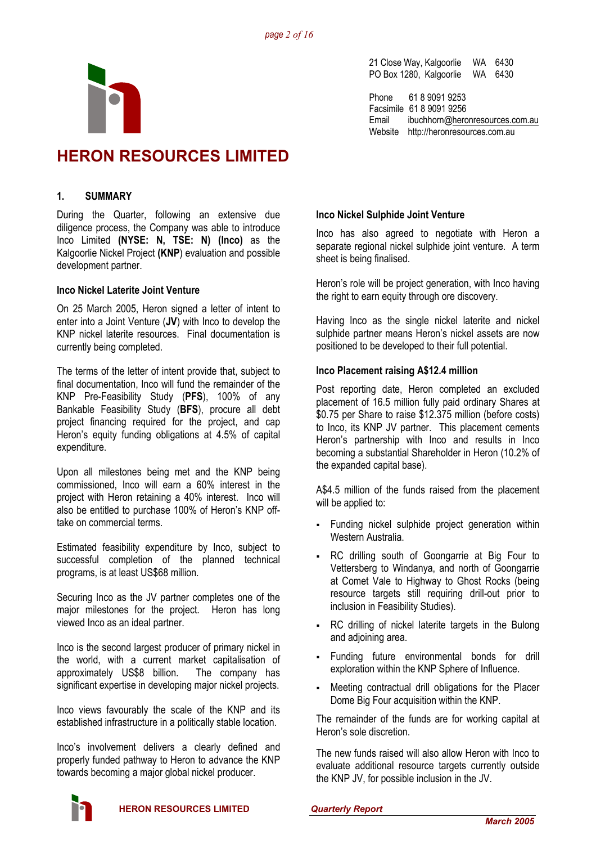

21 Close Way, Kalgoorlie WA 6430 PO Box 1280, Kalgoorlie WA 6430

Phone 61 8 9091 9253 Facsimile 61 8 9091 9256 Email ibuchhorn@heronresources.com.au Website http://heronresources.com.au

# **HERON RESOURCES LIMITED**

# **1. SUMMARY**

During the Quarter, following an extensive due diligence process, the Company was able to introduce Inco Limited **(NYSE: N, TSE: N) (Inco)** as the Kalgoorlie Nickel Project **(KNP**) evaluation and possible development partner.

# **Inco Nickel Laterite Joint Venture**

On 25 March 2005, Heron signed a letter of intent to enter into a Joint Venture (**JV**) with Inco to develop the KNP nickel laterite resources. Final documentation is currently being completed.

The terms of the letter of intent provide that, subject to final documentation, Inco will fund the remainder of the KNP Pre-Feasibility Study (**PFS**), 100% of any Bankable Feasibility Study (**BFS**), procure all debt project financing required for the project, and cap Heron's equity funding obligations at 4.5% of capital expenditure.

Upon all milestones being met and the KNP being commissioned, Inco will earn a 60% interest in the project with Heron retaining a 40% interest. Inco will also be entitled to purchase 100% of Heron's KNP offtake on commercial terms.

Estimated feasibility expenditure by Inco, subject to successful completion of the planned technical programs, is at least US\$68 million.

Securing Inco as the JV partner completes one of the major milestones for the project. Heron has long viewed Inco as an ideal partner.

Inco is the second largest producer of primary nickel in the world, with a current market capitalisation of approximately US\$8 billion. The company has significant expertise in developing major nickel projects.

Inco views favourably the scale of the KNP and its established infrastructure in a politically stable location.

Inco's involvement delivers a clearly defined and properly funded pathway to Heron to advance the KNP towards becoming a major global nickel producer.

# **Inco Nickel Sulphide Joint Venture**

Inco has also agreed to negotiate with Heron a separate regional nickel sulphide joint venture. A term sheet is being finalised.

Heron's role will be project generation, with Inco having the right to earn equity through ore discovery.

Having Inco as the single nickel laterite and nickel sulphide partner means Heron's nickel assets are now positioned to be developed to their full potential.

# **Inco Placement raising A\$12.4 million**

Post reporting date, Heron completed an excluded placement of 16.5 million fully paid ordinary Shares at \$0.75 per Share to raise \$12.375 million (before costs) to Inco, its KNP JV partner. This placement cements Heron's partnership with Inco and results in Inco becoming a substantial Shareholder in Heron (10.2% of the expanded capital base).

A\$4.5 million of the funds raised from the placement will be applied to:

- Funding nickel sulphide project generation within Western Australia.
- RC drilling south of Goongarrie at Big Four to Vettersberg to Windanya, and north of Goongarrie at Comet Vale to Highway to Ghost Rocks (being resource targets still requiring drill-out prior to inclusion in Feasibility Studies).
- RC drilling of nickel laterite targets in the Bulong and adjoining area.
- Funding future environmental bonds for drill exploration within the KNP Sphere of Influence.
- Meeting contractual drill obligations for the Placer Dome Big Four acquisition within the KNP.

The remainder of the funds are for working capital at Heron's sole discretion.

The new funds raised will also allow Heron with Inco to evaluate additional resource targets currently outside the KNP JV, for possible inclusion in the JV.

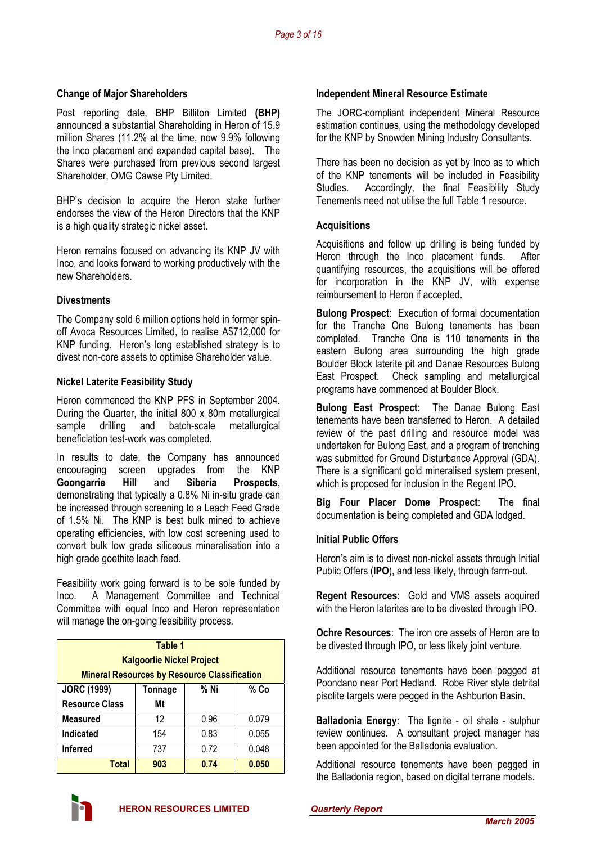# **Change of Major Shareholders**

Post reporting date, BHP Billiton Limited **(BHP)**  announced a substantial Shareholding in Heron of 15.9 million Shares (11.2% at the time, now 9.9% following the Inco placement and expanded capital base). The Shares were purchased from previous second largest Shareholder, OMG Cawse Pty Limited.

BHP's decision to acquire the Heron stake further endorses the view of the Heron Directors that the KNP is a high quality strategic nickel asset.

Heron remains focused on advancing its KNP JV with Inco, and looks forward to working productively with the new Shareholders.

### **Divestments**

The Company sold 6 million options held in former spinoff Avoca Resources Limited, to realise A\$712,000 for KNP funding. Heron's long established strategy is to divest non-core assets to optimise Shareholder value.

### **Nickel Laterite Feasibility Study**

Heron commenced the KNP PFS in September 2004. During the Quarter, the initial 800 x 80m metallurgical sample drilling and batch-scale metallurgical beneficiation test-work was completed.

In results to date, the Company has announced encouraging screen upgrades from the KNP **Goongarrie Hill** and **Siberia Prospects**, demonstrating that typically a 0.8% Ni in-situ grade can be increased through screening to a Leach Feed Grade of 1.5% Ni. The KNP is best bulk mined to achieve operating efficiencies, with low cost screening used to convert bulk low grade siliceous mineralisation into a high grade goethite leach feed.

Feasibility work going forward is to be sole funded by Inco. A Management Committee and Technical Committee with equal Inco and Heron representation will manage the on-going feasibility process.

| Table 1<br><b>Kalgoorlie Nickel Project</b><br><b>Mineral Resources by Resource Classification</b> |                         |      |       |  |  |  |  |  |
|----------------------------------------------------------------------------------------------------|-------------------------|------|-------|--|--|--|--|--|
| <b>JORC (1999)</b>                                                                                 | % Ni<br>% Co<br>Tonnage |      |       |  |  |  |  |  |
| <b>Resource Class</b>                                                                              | Mt                      |      |       |  |  |  |  |  |
| <b>Measured</b>                                                                                    | 12                      | 0.96 | 0.079 |  |  |  |  |  |
| Indicated                                                                                          | 154                     | 0.83 | 0.055 |  |  |  |  |  |
| 0.72<br>0.048<br><b>Inferred</b><br>737                                                            |                         |      |       |  |  |  |  |  |
| Total                                                                                              | 903                     | 0.74 | 0.050 |  |  |  |  |  |

## **Independent Mineral Resource Estimate**

The JORC-compliant independent Mineral Resource estimation continues, using the methodology developed for the KNP by Snowden Mining Industry Consultants.

There has been no decision as yet by Inco as to which of the KNP tenements will be included in Feasibility Studies. Accordingly, the final Feasibility Study Tenements need not utilise the full Table 1 resource.

### **Acquisitions**

Acquisitions and follow up drilling is being funded by Heron through the Inco placement funds. After quantifying resources, the acquisitions will be offered for incorporation in the KNP JV, with expense reimbursement to Heron if accepted.

**Bulong Prospect**: Execution of formal documentation for the Tranche One Bulong tenements has been completed. Tranche One is 110 tenements in the eastern Bulong area surrounding the high grade Boulder Block laterite pit and Danae Resources Bulong East Prospect. Check sampling and metallurgical programs have commenced at Boulder Block.

**Bulong East Prospect**: The Danae Bulong East tenements have been transferred to Heron. A detailed review of the past drilling and resource model was undertaken for Bulong East, and a program of trenching was submitted for Ground Disturbance Approval (GDA). There is a significant gold mineralised system present, which is proposed for inclusion in the Regent IPO.

**Big Four Placer Dome Prospect**: The final documentation is being completed and GDA lodged.

# **Initial Public Offers**

Heron's aim is to divest non-nickel assets through Initial Public Offers (**IPO**), and less likely, through farm-out.

**Regent Resources**: Gold and VMS assets acquired with the Heron laterites are to be divested through IPO.

**Ochre Resources**: The iron ore assets of Heron are to be divested through IPO, or less likely joint venture.

Additional resource tenements have been pegged at Poondano near Port Hedland. Robe River style detrital pisolite targets were pegged in the Ashburton Basin.

**Balladonia Energy**: The lignite - oil shale - sulphur review continues. A consultant project manager has been appointed for the Balladonia evaluation.

Additional resource tenements have been pegged in the Balladonia region, based on digital terrane models.

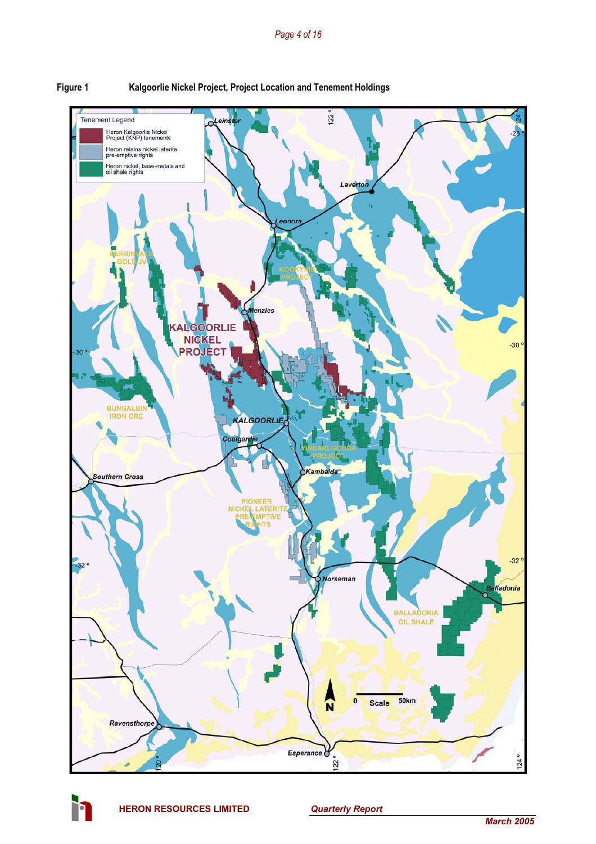



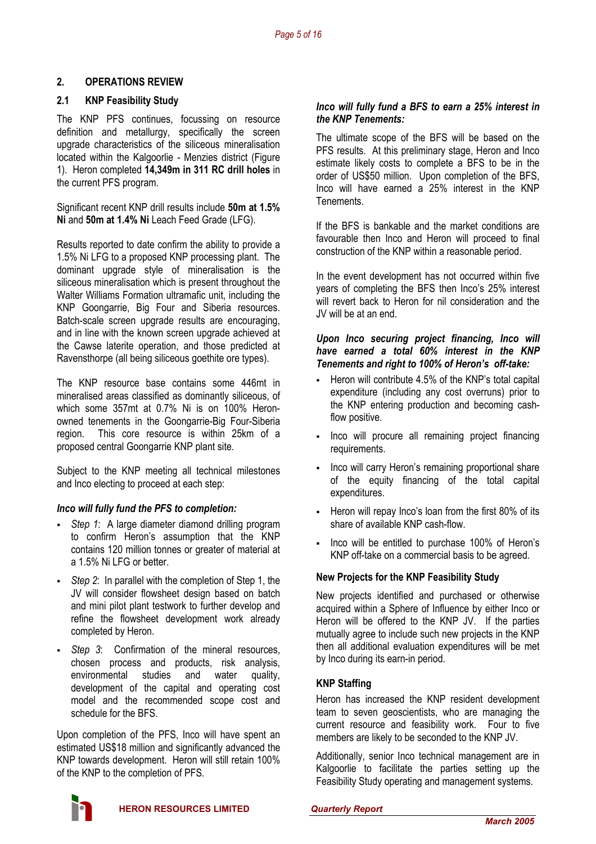# **2. OPERATIONS REVIEW**

# **2.1 KNP Feasibility Study**

The KNP PFS continues, focussing on resource definition and metallurgy, specifically the screen upgrade characteristics of the siliceous mineralisation located within the Kalgoorlie - Menzies district (Figure 1). Heron completed **14,349m in 311 RC drill holes** in the current PFS program.

Significant recent KNP drill results include **50m at 1.5% Ni** and **50m at 1.4% Ni** Leach Feed Grade (LFG).

Results reported to date confirm the ability to provide a 1.5% Ni LFG to a proposed KNP processing plant. The dominant upgrade style of mineralisation is the siliceous mineralisation which is present throughout the Walter Williams Formation ultramafic unit, including the KNP Goongarrie, Big Four and Siberia resources. Batch-scale screen upgrade results are encouraging, and in line with the known screen upgrade achieved at the Cawse laterite operation, and those predicted at Ravensthorpe (all being siliceous goethite ore types).

The KNP resource base contains some 446mt in mineralised areas classified as dominantly siliceous, of which some 357mt at 0.7% Ni is on 100% Heronowned tenements in the Goongarrie-Big Four-Siberia region. This core resource is within 25km of a proposed central Goongarrie KNP plant site.

Subject to the KNP meeting all technical milestones and Inco electing to proceed at each step:

# *Inco will fully fund the PFS to completion:*

- *Step 1*: A large diameter diamond drilling program to confirm Heron's assumption that the KNP contains 120 million tonnes or greater of material at a 1.5% Ni LFG or better.
- *Step 2*: In parallel with the completion of Step 1, the JV will consider flowsheet design based on batch and mini pilot plant testwork to further develop and refine the flowsheet development work already completed by Heron.
- *Step 3*: Confirmation of the mineral resources, chosen process and products, risk analysis, environmental studies and water quality, development of the capital and operating cost model and the recommended scope cost and schedule for the BFS.

Upon completion of the PFS, Inco will have spent an estimated US\$18 million and significantly advanced the KNP towards development. Heron will still retain 100% of the KNP to the completion of PFS.

## *Inco will fully fund a BFS to earn a 25% interest in the KNP Tenements:*

The ultimate scope of the BFS will be based on the PFS results. At this preliminary stage, Heron and Inco estimate likely costs to complete a BFS to be in the order of US\$50 million. Upon completion of the BFS, Inco will have earned a 25% interest in the KNP **Tenements** 

If the BFS is bankable and the market conditions are favourable then Inco and Heron will proceed to final construction of the KNP within a reasonable period.

In the event development has not occurred within five years of completing the BFS then Inco's 25% interest will revert back to Heron for nil consideration and the JV will be at an end.

## *Upon Inco securing project financing, Inco will have earned a total 60% interest in the KNP Tenements and right to 100% of Heron's off-take:*

- Heron will contribute 4.5% of the KNP's total capital expenditure (including any cost overruns) prior to the KNP entering production and becoming cashflow positive.
- Inco will procure all remaining project financing requirements.
- Inco will carry Heron's remaining proportional share of the equity financing of the total capital expenditures.
- Heron will repay Inco's loan from the first 80% of its share of available KNP cash-flow.
- Inco will be entitled to purchase 100% of Heron's KNP off-take on a commercial basis to be agreed.

# **New Projects for the KNP Feasibility Study**

New projects identified and purchased or otherwise acquired within a Sphere of Influence by either Inco or Heron will be offered to the KNP JV. If the parties mutually agree to include such new projects in the KNP then all additional evaluation expenditures will be met by Inco during its earn-in period.

# **KNP Staffing**

Heron has increased the KNP resident development team to seven geoscientists, who are managing the current resource and feasibility work. Four to five members are likely to be seconded to the KNP JV.

Additionally, senior Inco technical management are in Kalgoorlie to facilitate the parties setting up the Feasibility Study operating and management systems.

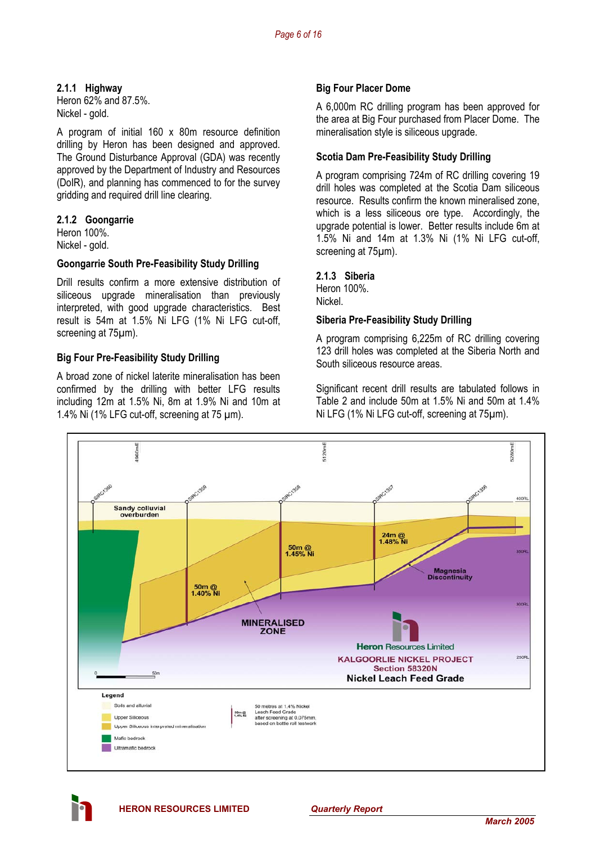# **2.1.1 Highway**

Heron 62% and 87.5%. Nickel - gold.

A program of initial 160 x 80m resource definition drilling by Heron has been designed and approved. The Ground Disturbance Approval (GDA) was recently approved by the Department of Industry and Resources (DoIR), and planning has commenced to for the survey gridding and required drill line clearing.

# **2.1.2 Goongarrie**

Heron 100%. Nickel - gold.

# **Goongarrie South Pre-Feasibility Study Drilling**

Drill results confirm a more extensive distribution of siliceous upgrade mineralisation than previously interpreted, with good upgrade characteristics. Best result is 54m at 1.5% Ni LFG (1% Ni LFG cut-off, screening at 75µm).

# **Big Four Pre-Feasibility Study Drilling**

A broad zone of nickel laterite mineralisation has been confirmed by the drilling with better LFG results including 12m at 1.5% Ni, 8m at 1.9% Ni and 10m at 1.4% Ni (1% LFG cut-off, screening at 75 µm).

# **Big Four Placer Dome**

A 6,000m RC drilling program has been approved for the area at Big Four purchased from Placer Dome. The mineralisation style is siliceous upgrade.

# **Scotia Dam Pre-Feasibility Study Drilling**

A program comprising 724m of RC drilling covering 19 drill holes was completed at the Scotia Dam siliceous resource. Results confirm the known mineralised zone, which is a less siliceous ore type. Accordingly, the upgrade potential is lower. Better results include 6m at 1.5% Ni and 14m at 1.3% Ni (1% Ni LFG cut-off, screening at 75 $\mu$ m).

# **2.1.3 Siberia**

Heron 100%. Nickel.

# **Siberia Pre-Feasibility Study Drilling**

A program comprising 6,225m of RC drilling covering 123 drill holes was completed at the Siberia North and South siliceous resource areas.

Significant recent drill results are tabulated follows in Table 2 and include 50m at 1.5% Ni and 50m at 1.4% Ni LFG (1% Ni LFG cut-off, screening at 75µm).



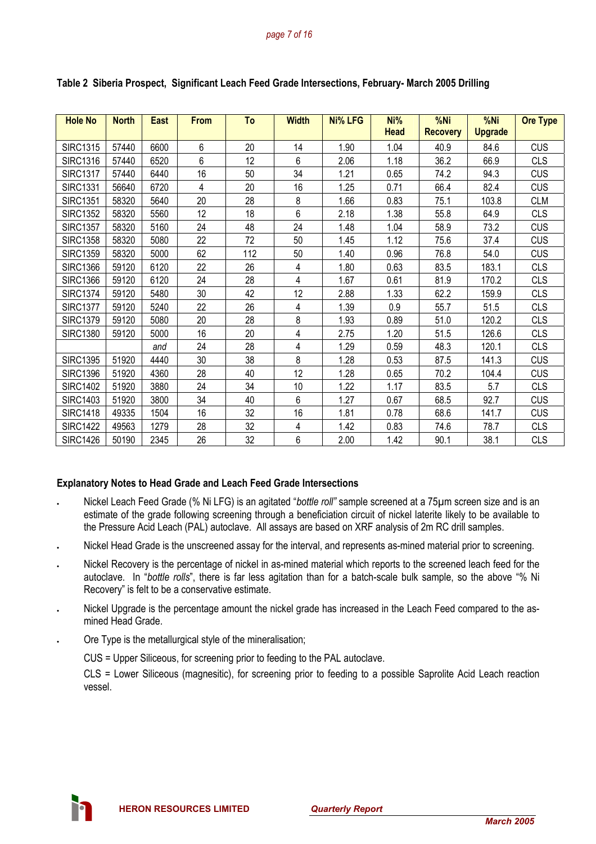| <b>Hole No</b>  | <b>North</b> | <b>East</b> | <b>From</b> | To  | <b>Width</b> | <b>Ni% LFG</b> | Ni%<br><b>Head</b> | %Ni<br><b>Recovery</b> | %Ni<br><b>Upgrade</b> | <b>Ore Type</b> |
|-----------------|--------------|-------------|-------------|-----|--------------|----------------|--------------------|------------------------|-----------------------|-----------------|
|                 |              |             |             |     |              |                |                    |                        |                       |                 |
| <b>SIRC1315</b> | 57440        | 6600        | 6           | 20  | 14           | 1.90           | 1.04               | 40.9                   | 84.6                  | <b>CUS</b>      |
| <b>SIRC1316</b> | 57440        | 6520        | 6           | 12  | 6            | 2.06           | 1.18               | 36.2                   | 66.9                  | <b>CLS</b>      |
| <b>SIRC1317</b> | 57440        | 6440        | 16          | 50  | 34           | 1.21           | 0.65               | 74.2                   | 94.3                  | <b>CUS</b>      |
| <b>SIRC1331</b> | 56640        | 6720        | 4           | 20  | 16           | 1.25           | 0.71               | 66.4                   | 82.4                  | <b>CUS</b>      |
| <b>SIRC1351</b> | 58320        | 5640        | 20          | 28  | 8            | 1.66           | 0.83               | 75.1                   | 103.8                 | <b>CLM</b>      |
| <b>SIRC1352</b> | 58320        | 5560        | 12          | 18  | 6            | 2.18           | 1.38               | 55.8                   | 64.9                  | <b>CLS</b>      |
| <b>SIRC1357</b> | 58320        | 5160        | 24          | 48  | 24           | 1.48           | 1.04               | 58.9                   | 73.2                  | <b>CUS</b>      |
| <b>SIRC1358</b> | 58320        | 5080        | 22          | 72  | 50           | 1.45           | 1.12               | 75.6                   | 37.4                  | <b>CUS</b>      |
| <b>SIRC1359</b> | 58320        | 5000        | 62          | 112 | 50           | 1.40           | 0.96               | 76.8                   | 54.0                  | <b>CUS</b>      |
| <b>SIRC1366</b> | 59120        | 6120        | 22          | 26  | 4            | 1.80           | 0.63               | 83.5                   | 183.1                 | <b>CLS</b>      |
| <b>SIRC1366</b> | 59120        | 6120        | 24          | 28  | 4            | 1.67           | 0.61               | 81.9                   | 170.2                 | <b>CLS</b>      |
| <b>SIRC1374</b> | 59120        | 5480        | 30          | 42  | 12           | 2.88           | 1.33               | 62.2                   | 159.9                 | <b>CLS</b>      |
| <b>SIRC1377</b> | 59120        | 5240        | 22          | 26  | 4            | 1.39           | 0.9                | 55.7                   | 51.5                  | <b>CLS</b>      |
| <b>SIRC1379</b> | 59120        | 5080        | 20          | 28  | 8            | 1.93           | 0.89               | 51.0                   | 120.2                 | <b>CLS</b>      |
| <b>SIRC1380</b> | 59120        | 5000        | 16          | 20  | 4            | 2.75           | 1.20               | 51.5                   | 126.6                 | <b>CLS</b>      |
|                 |              | and         | 24          | 28  | 4            | 1.29           | 0.59               | 48.3                   | 120.1                 | <b>CLS</b>      |
| <b>SIRC1395</b> | 51920        | 4440        | 30          | 38  | 8            | 1.28           | 0.53               | 87.5                   | 141.3                 | <b>CUS</b>      |
| <b>SIRC1396</b> | 51920        | 4360        | 28          | 40  | 12           | 1.28           | 0.65               | 70.2                   | 104.4                 | <b>CUS</b>      |
| <b>SIRC1402</b> | 51920        | 3880        | 24          | 34  | 10           | 1.22           | 1.17               | 83.5                   | 5.7                   | <b>CLS</b>      |
| <b>SIRC1403</b> | 51920        | 3800        | 34          | 40  | 6            | 1.27           | 0.67               | 68.5                   | 92.7                  | <b>CUS</b>      |
| <b>SIRC1418</b> | 49335        | 1504        | 16          | 32  | 16           | 1.81           | 0.78               | 68.6                   | 141.7                 | <b>CUS</b>      |
| <b>SIRC1422</b> | 49563        | 1279        | 28          | 32  | 4            | 1.42           | 0.83               | 74.6                   | 78.7                  | <b>CLS</b>      |
| <b>SIRC1426</b> | 50190        | 2345        | 26          | 32  | 6            | 2.00           | 1.42               | 90.1                   | 38.1                  | <b>CLS</b>      |

**Table 2 Siberia Prospect, Significant Leach Feed Grade Intersections, February- March 2005 Drilling** 

# **Explanatory Notes to Head Grade and Leach Feed Grade Intersections**

- Nickel Leach Feed Grade (% Ni LFG) is an agitated "*bottle roll"* sample screened at a 75µm screen size and is an estimate of the grade following screening through a beneficiation circuit of nickel laterite likely to be available to the Pressure Acid Leach (PAL) autoclave. All assays are based on XRF analysis of 2m RC drill samples.
- Nickel Head Grade is the unscreened assay for the interval, and represents as-mined material prior to screening.
- Nickel Recovery is the percentage of nickel in as-mined material which reports to the screened leach feed for the autoclave. In "*bottle rolls*", there is far less agitation than for a batch-scale bulk sample, so the above "% Ni Recovery" is felt to be a conservative estimate.
- Nickel Upgrade is the percentage amount the nickel grade has increased in the Leach Feed compared to the asmined Head Grade.
- Ore Type is the metallurgical style of the mineralisation;

CUS = Upper Siliceous, for screening prior to feeding to the PAL autoclave.

CLS = Lower Siliceous (magnesitic), for screening prior to feeding to a possible Saprolite Acid Leach reaction vessel.

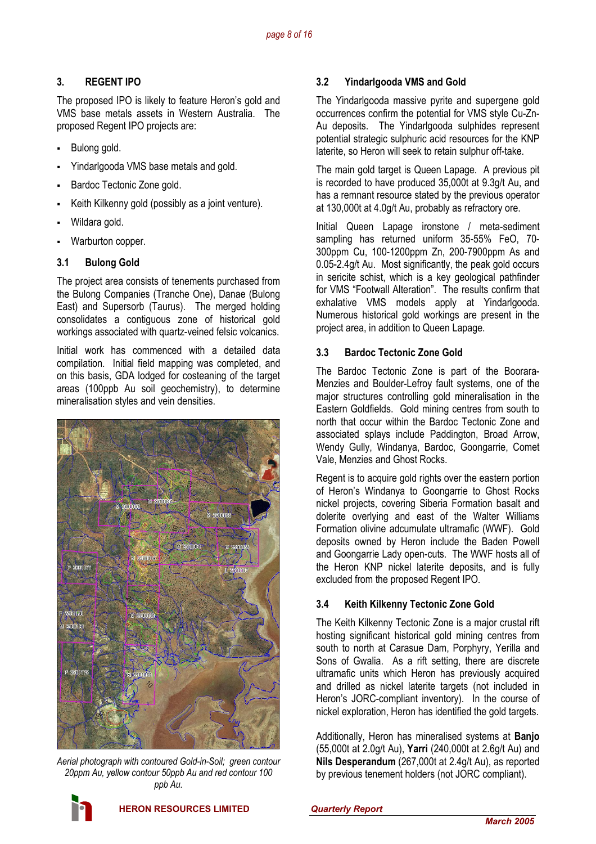# **3. REGENT IPO**

The proposed IPO is likely to feature Heron's gold and VMS base metals assets in Western Australia. The proposed Regent IPO projects are:

- Bulong gold.
- Yindarlgooda VMS base metals and gold.
- Bardoc Tectonic Zone gold.
- Keith Kilkenny gold (possibly as a joint venture).
- Wildara gold.
- Warburton copper.

# **3.1 Bulong Gold**

The project area consists of tenements purchased from the Bulong Companies (Tranche One), Danae (Bulong East) and Supersorb (Taurus). The merged holding consolidates a contiguous zone of historical gold workings associated with quartz-veined felsic volcanics.

Initial work has commenced with a detailed data compilation. Initial field mapping was completed, and on this basis, GDA lodged for costeaning of the target areas (100ppb Au soil geochemistry), to determine mineralisation styles and vein densities.



*Aerial photograph with contoured Gold-in-Soil; green contour 20ppm Au, yellow contour 50ppb Au and red contour 100 ppb Au.* 

# **3.2 Yindarlgooda VMS and Gold**

The Yindarlgooda massive pyrite and supergene gold occurrences confirm the potential for VMS style Cu-Zn-Au deposits. The Yindarlgooda sulphides represent potential strategic sulphuric acid resources for the KNP laterite, so Heron will seek to retain sulphur off-take.

The main gold target is Queen Lapage. A previous pit is recorded to have produced 35,000t at 9.3g/t Au, and has a remnant resource stated by the previous operator at 130,000t at 4.0g/t Au, probably as refractory ore.

Initial Queen Lapage ironstone / meta-sediment sampling has returned uniform 35-55% FeO, 70- 300ppm Cu, 100-1200ppm Zn, 200-7900ppm As and 0.05-2.4g/t Au. Most significantly, the peak gold occurs in sericite schist, which is a key geological pathfinder for VMS "Footwall Alteration". The results confirm that exhalative VMS models apply at Yindarlgooda. Numerous historical gold workings are present in the project area, in addition to Queen Lapage.

# **3.3 Bardoc Tectonic Zone Gold**

The Bardoc Tectonic Zone is part of the Boorara-Menzies and Boulder-Lefroy fault systems, one of the major structures controlling gold mineralisation in the Eastern Goldfields. Gold mining centres from south to north that occur within the Bardoc Tectonic Zone and associated splays include Paddington, Broad Arrow, Wendy Gully, Windanya, Bardoc, Goongarrie, Comet Vale, Menzies and Ghost Rocks.

Regent is to acquire gold rights over the eastern portion of Heron's Windanya to Goongarrie to Ghost Rocks nickel projects, covering Siberia Formation basalt and dolerite overlying and east of the Walter Williams Formation olivine adcumulate ultramafic (WWF). Gold deposits owned by Heron include the Baden Powell and Goongarrie Lady open-cuts. The WWF hosts all of the Heron KNP nickel laterite deposits, and is fully excluded from the proposed Regent IPO.

# **3.4 Keith Kilkenny Tectonic Zone Gold**

The Keith Kilkenny Tectonic Zone is a major crustal rift hosting significant historical gold mining centres from south to north at Carasue Dam, Porphyry, Yerilla and Sons of Gwalia. As a rift setting, there are discrete ultramafic units which Heron has previously acquired and drilled as nickel laterite targets (not included in Heron's JORC-compliant inventory). In the course of nickel exploration, Heron has identified the gold targets.

Additionally, Heron has mineralised systems at **Banjo** (55,000t at 2.0g/t Au), **Yarri** (240,000t at 2.6g/t Au) and **Nils Desperandum** (267,000t at 2.4g/t Au), as reported by previous tenement holders (not JORC compliant).

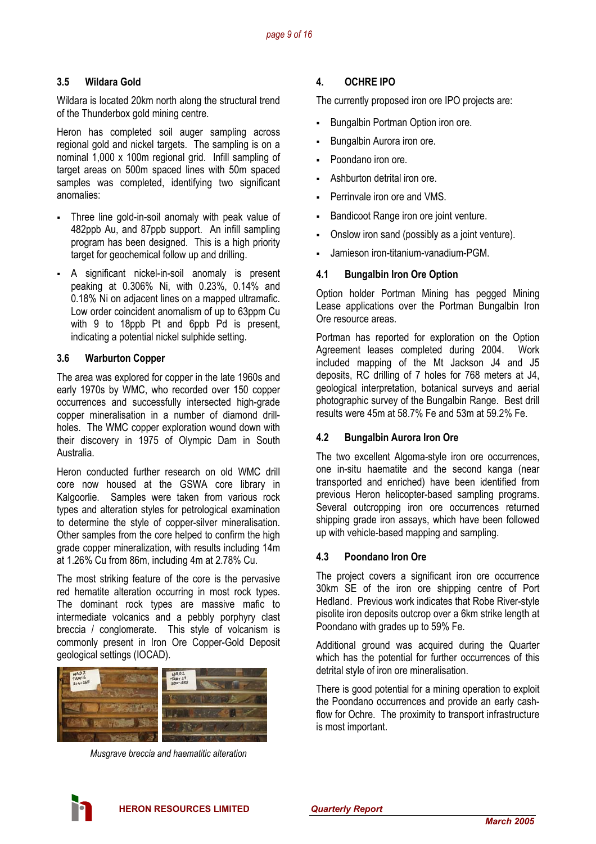# **3.5 Wildara Gold**

Wildara is located 20km north along the structural trend of the Thunderbox gold mining centre.

Heron has completed soil auger sampling across regional gold and nickel targets. The sampling is on a nominal 1,000 x 100m regional grid. Infill sampling of target areas on 500m spaced lines with 50m spaced samples was completed, identifying two significant anomalies:

- Three line gold-in-soil anomaly with peak value of 482ppb Au, and 87ppb support. An infill sampling program has been designed. This is a high priority target for geochemical follow up and drilling.
- A significant nickel-in-soil anomaly is present peaking at 0.306% Ni, with 0.23%, 0.14% and 0.18% Ni on adjacent lines on a mapped ultramafic. Low order coincident anomalism of up to 63ppm Cu with 9 to 18ppb Pt and 6ppb Pd is present. indicating a potential nickel sulphide setting.

# **3.6 Warburton Copper**

The area was explored for copper in the late 1960s and early 1970s by WMC, who recorded over 150 copper occurrences and successfully intersected high-grade copper mineralisation in a number of diamond drillholes. The WMC copper exploration wound down with their discovery in 1975 of Olympic Dam in South Australia.

Heron conducted further research on old WMC drill core now housed at the GSWA core library in Kalgoorlie. Samples were taken from various rock types and alteration styles for petrological examination to determine the style of copper-silver mineralisation. Other samples from the core helped to confirm the high grade copper mineralization, with results including 14m at 1.26% Cu from 86m, including 4m at 2.78% Cu.

The most striking feature of the core is the pervasive red hematite alteration occurring in most rock types. The dominant rock types are massive mafic to intermediate volcanics and a pebbly porphyry clast breccia / conglomerate. This style of volcanism is commonly present in Iron Ore Copper-Gold Deposit geological settings (IOCAD).



*Musgrave breccia and haematitic alteration* 

# **4. OCHRE IPO**

The currently proposed iron ore IPO projects are:

- Bungalbin Portman Option iron ore.
- Bungalbin Aurora iron ore.
- Poondano iron ore.
- Ashburton detrital iron ore.
- Perrinvale iron ore and VMS.
- Bandicoot Range iron ore joint venture.
- Onslow iron sand (possibly as a joint venture).
- Jamieson iron-titanium-vanadium-PGM.

# **4.1 Bungalbin Iron Ore Option**

Option holder Portman Mining has pegged Mining Lease applications over the Portman Bungalbin Iron Ore resource areas.

Portman has reported for exploration on the Option Agreement leases completed during 2004. Work included mapping of the Mt Jackson J4 and J5 deposits, RC drilling of 7 holes for 768 meters at J4, geological interpretation, botanical surveys and aerial photographic survey of the Bungalbin Range. Best drill results were 45m at 58.7% Fe and 53m at 59.2% Fe.

# **4.2 Bungalbin Aurora Iron Ore**

The two excellent Algoma-style iron ore occurrences, one in-situ haematite and the second kanga (near transported and enriched) have been identified from previous Heron helicopter-based sampling programs. Several outcropping iron ore occurrences returned shipping grade iron assays, which have been followed up with vehicle-based mapping and sampling.

# **4.3 Poondano Iron Ore**

The project covers a significant iron ore occurrence 30km SE of the iron ore shipping centre of Port Hedland. Previous work indicates that Robe River-style pisolite iron deposits outcrop over a 6km strike length at Poondano with grades up to 59% Fe.

Additional ground was acquired during the Quarter which has the potential for further occurrences of this detrital style of iron ore mineralisation.

There is good potential for a mining operation to exploit the Poondano occurrences and provide an early cashflow for Ochre. The proximity to transport infrastructure is most important.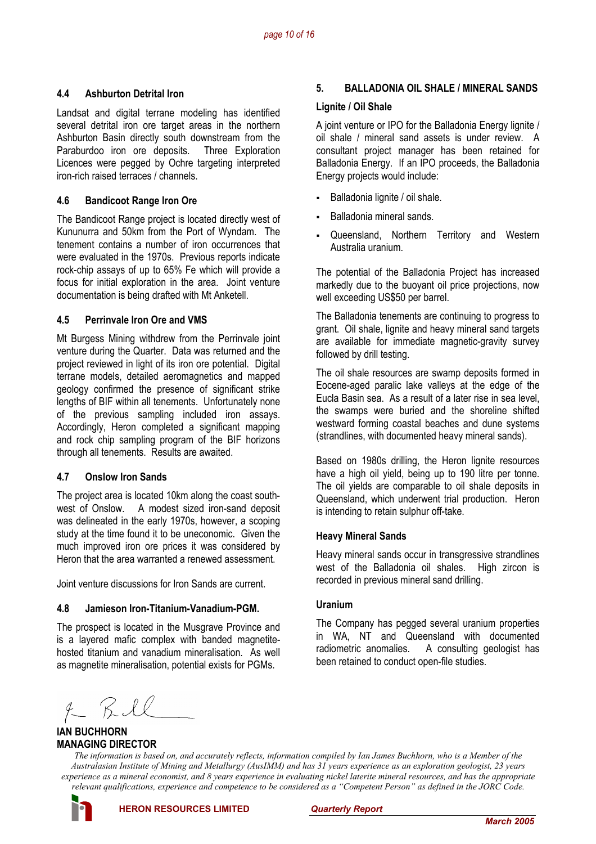## **4.4 Ashburton Detrital Iron**

Landsat and digital terrane modeling has identified several detrital iron ore target areas in the northern Ashburton Basin directly south downstream from the Paraburdoo iron ore deposits. Three Exploration Licences were pegged by Ochre targeting interpreted iron-rich raised terraces / channels.

# **4.6 Bandicoot Range Iron Ore**

The Bandicoot Range project is located directly west of Kununurra and 50km from the Port of Wyndam. The tenement contains a number of iron occurrences that were evaluated in the 1970s. Previous reports indicate rock-chip assays of up to 65% Fe which will provide a focus for initial exploration in the area. Joint venture documentation is being drafted with Mt Anketell.

# **4.5 Perrinvale Iron Ore and VMS**

Mt Burgess Mining withdrew from the Perrinvale joint venture during the Quarter. Data was returned and the project reviewed in light of its iron ore potential. Digital terrane models, detailed aeromagnetics and mapped geology confirmed the presence of significant strike lengths of BIF within all tenements. Unfortunately none of the previous sampling included iron assays. Accordingly, Heron completed a significant mapping and rock chip sampling program of the BIF horizons through all tenements. Results are awaited.

# **4.7 Onslow Iron Sands**

The project area is located 10km along the coast southwest of Onslow. A modest sized iron-sand deposit was delineated in the early 1970s, however, a scoping study at the time found it to be uneconomic. Given the much improved iron ore prices it was considered by Heron that the area warranted a renewed assessment.

Joint venture discussions for Iron Sands are current.

#### **4.8 Jamieson Iron-Titanium-Vanadium-PGM.**

The prospect is located in the Musgrave Province and is a layered mafic complex with banded magnetitehosted titanium and vanadium mineralisation. As well as magnetite mineralisation, potential exists for PGMs.

# **5. BALLADONIA OIL SHALE / MINERAL SANDS**

#### **Lignite / Oil Shale**

A joint venture or IPO for the Balladonia Energy lignite / oil shale / mineral sand assets is under review. A consultant project manager has been retained for Balladonia Energy. If an IPO proceeds, the Balladonia Energy projects would include:

- Balladonia lignite / oil shale.
- Balladonia mineral sands.
- Queensland, Northern Territory and Western Australia uranium.

The potential of the Balladonia Project has increased markedly due to the buoyant oil price projections, now well exceeding US\$50 per barrel.

The Balladonia tenements are continuing to progress to grant. Oil shale, lignite and heavy mineral sand targets are available for immediate magnetic-gravity survey followed by drill testing.

The oil shale resources are swamp deposits formed in Eocene-aged paralic lake valleys at the edge of the Eucla Basin sea. As a result of a later rise in sea level, the swamps were buried and the shoreline shifted westward forming coastal beaches and dune systems (strandlines, with documented heavy mineral sands).

Based on 1980s drilling, the Heron lignite resources have a high oil yield, being up to 190 litre per tonne. The oil yields are comparable to oil shale deposits in Queensland, which underwent trial production. Heron is intending to retain sulphur off-take.

#### **Heavy Mineral Sands**

Heavy mineral sands occur in transgressive strandlines west of the Balladonia oil shales. High zircon is recorded in previous mineral sand drilling.

#### **Uranium**

The Company has pegged several uranium properties in WA, NT and Queensland with documented radiometric anomalies. A consulting geologist has been retained to conduct open-file studies.

 $2KRIC$ 

### **IAN BUCHHORN MANAGING DIRECTOR**

*The information is based on, and accurately reflects, information compiled by Ian James Buchhorn, who is a Member of the Australasian Institute of Mining and Metallurgy (AusIMM) and has 31 years experience as an exploration geologist, 23 years experience as a mineral economist, and 8 years experience in evaluating nickel laterite mineral resources, and has the appropriate relevant qualifications, experience and competence to be considered as a "Competent Person" as defined in the JORC Code.* 

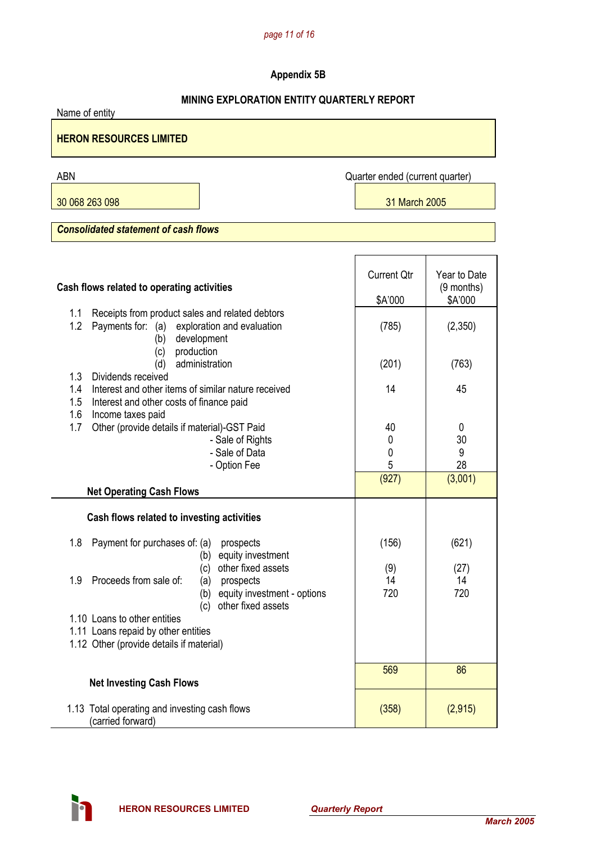# *page 11 of 16*

# **Appendix 5B**

# **MINING EXPLORATION ENTITY QUARTERLY REPORT**

Name of entity

**HERON RESOURCES LIMITED** 

30 068 263 098 31 March 2005

ABN Quarter ended (current quarter)

*Consolidated statement of cash flows* 

| Cash flows related to operating activities                                                                                                     | <b>Current Qtr</b><br>\$A'000 | Year to Date<br>(9 months)<br>\$A'000 |
|------------------------------------------------------------------------------------------------------------------------------------------------|-------------------------------|---------------------------------------|
| Receipts from product sales and related debtors<br>1.1<br>1.2<br>Payments for:<br>(a)<br>exploration and evaluation<br>development<br>(b)      | (785)                         | (2,350)                               |
| production<br>(c)<br>administration<br>(d)                                                                                                     | (201)                         | (763)                                 |
| 1.3<br>Dividends received<br>Interest and other items of similar nature received<br>1.4<br>1.5<br>Interest and other costs of finance paid     | 14                            | 45                                    |
| 1.6<br>Income taxes paid<br>Other (provide details if material)-GST Paid<br>1.7                                                                | 40                            | 0                                     |
| - Sale of Rights<br>- Sale of Data<br>- Option Fee                                                                                             | 0<br>0<br>5                   | 30<br>9<br>28                         |
| <b>Net Operating Cash Flows</b>                                                                                                                | (927)                         | (3,001)                               |
| Cash flows related to investing activities                                                                                                     |                               |                                       |
| Payment for purchases of: (a)<br>1.8<br>prospects<br>equity investment<br>(b)                                                                  | (156)                         | (621)                                 |
| other fixed assets<br>(c)<br>Proceeds from sale of:<br>1.9<br>(a) prospects<br>equity investment - options<br>(b)<br>other fixed assets<br>(c) | (9)<br>14<br>720              | (27)<br>14<br>720                     |
| 1.10 Loans to other entities<br>1.11 Loans repaid by other entities<br>1.12 Other (provide details if material)                                |                               |                                       |
| <b>Net Investing Cash Flows</b>                                                                                                                | 569                           | 86                                    |
| 1.13 Total operating and investing cash flows<br>(carried forward)                                                                             | (358)                         | (2,915)                               |

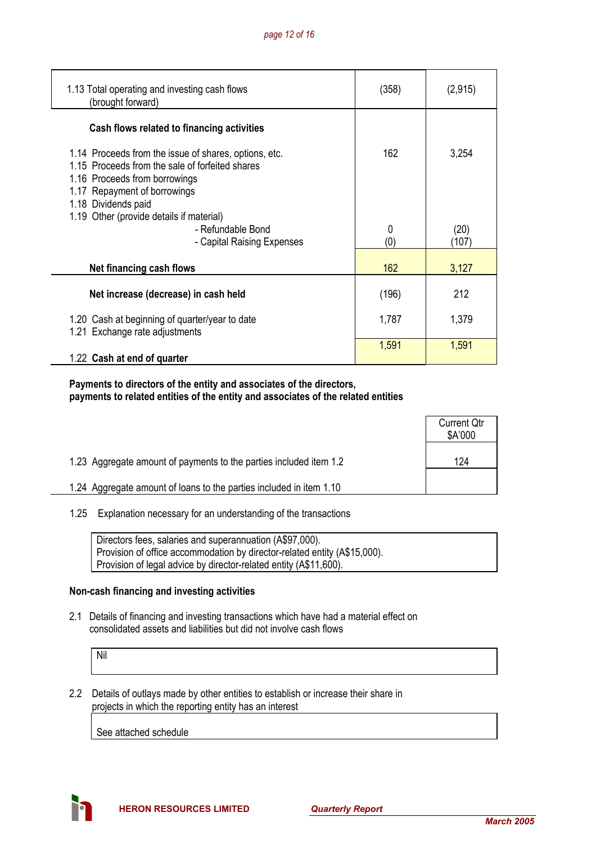| 1.13 Total operating and investing cash flows<br>(brought forward)                                                                                                                               | (358) | (2, 915) |
|--------------------------------------------------------------------------------------------------------------------------------------------------------------------------------------------------|-------|----------|
| Cash flows related to financing activities                                                                                                                                                       |       |          |
| 1.14 Proceeds from the issue of shares, options, etc.<br>1.15 Proceeds from the sale of forfeited shares<br>1.16 Proceeds from borrowings<br>1.17 Repayment of borrowings<br>1.18 Dividends paid | 162   | 3,254    |
| 1.19 Other (provide details if material)<br>- Refundable Bond                                                                                                                                    | 0     | (20)     |
| - Capital Raising Expenses                                                                                                                                                                       | (0)   | (107)    |
| Net financing cash flows                                                                                                                                                                         | 162   | 3,127    |
| Net increase (decrease) in cash held                                                                                                                                                             | (196) | 212      |
| 1.20 Cash at beginning of quarter/year to date<br>1.21 Exchange rate adjustments                                                                                                                 | 1,787 | 1,379    |
| 1.22 Cash at end of quarter                                                                                                                                                                      | 1,591 | 1,591    |

## **Payments to directors of the entity and associates of the directors, payments to related entities of the entity and associates of the related entities**

|                                                                     | <b>Current Qtr</b><br>\$A'000 |
|---------------------------------------------------------------------|-------------------------------|
| 1.23 Aggregate amount of payments to the parties included item 1.2  | 124                           |
| 1.24 Aggregate amount of loans to the parties included in item 1.10 |                               |

# 1.25 Explanation necessary for an understanding of the transactions

| Directors fees, salaries and superannuation (A\$97,000).                  |
|---------------------------------------------------------------------------|
| Provision of office accommodation by director-related entity (A\$15,000). |
| Provision of legal advice by director-related entity (A\$11,600).         |

# **Non-cash financing and investing activities**

 2.1 Details of financing and investing transactions which have had a material effect on consolidated assets and liabilities but did not involve cash flows

Nil

 2.2 Details of outlays made by other entities to establish or increase their share in projects in which the reporting entity has an interest

See attached schedule

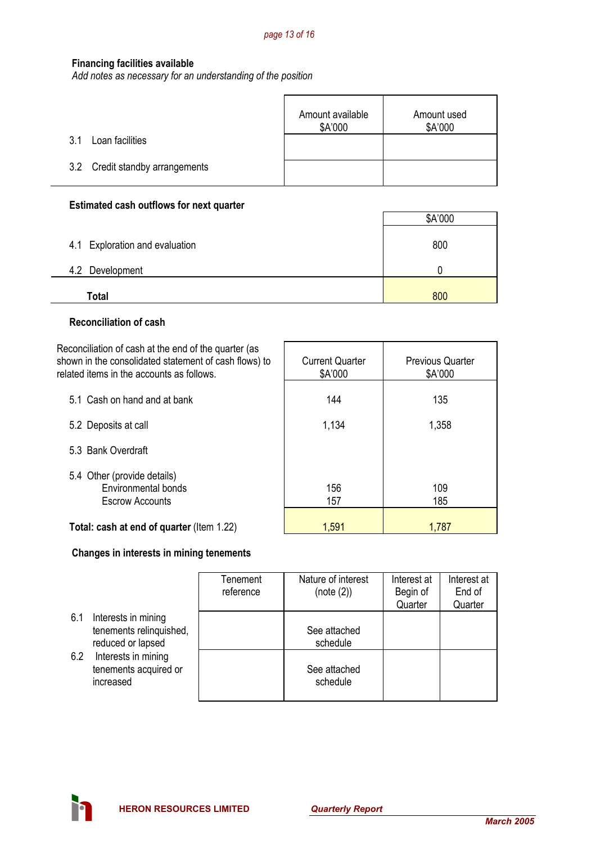## **Financing facilities available**

*Add notes as necessary for an understanding of the position*

|                                 | Amount available<br>\$A'000 | Amount used<br>\$A'000 |
|---------------------------------|-----------------------------|------------------------|
| Loan facilities<br>31           |                             |                        |
| 3.2 Credit standby arrangements |                             |                        |

#### **Estimated cash outflows for next quarter**

|                                | \$A'000 |
|--------------------------------|---------|
| 4.1 Exploration and evaluation | 800     |
| 4.2 Development                |         |
| Total                          | 800     |

## **Reconciliation of cash**

Reconciliation of cash at the end of the quarter (as shown in the consolidated statement of cash flows) to related items in the accounts as follows. Current Quarter 5.1 Cash on hand and at bank

- 5.3 Bank Overdraft
- 5.4 Other (provide details) Environmental bonds Escrow Accounts

| related items in the accounts as follows.                             | \$A'000    | \$A'000    |  |
|-----------------------------------------------------------------------|------------|------------|--|
| 5.1 Cash on hand and at bank                                          | 144        | 135        |  |
| 5.2 Deposits at call                                                  | 1,134      | 1,358      |  |
| 5.3 Bank Overdraft                                                    |            |            |  |
| 5.4 Other (provide details)<br>Environmental bonds<br>Escrow Accounts | 156<br>157 | 109<br>185 |  |
| Total: cash at end of quarter (Item 1 22)                             | 1.591      | 1 787      |  |

Previous Quarter

# **Total: cash at end of quarter** (Item 1.22)

# **Changes in interests in mining tenements**

|     |                                                                     | Tenement<br>reference | Nature of interest<br>(note (2)) | Interest at<br>Begin of | Interest at<br>End of |
|-----|---------------------------------------------------------------------|-----------------------|----------------------------------|-------------------------|-----------------------|
|     |                                                                     |                       |                                  | Quarter                 | Quarter               |
| 6.1 | Interests in mining<br>tenements relinquished,<br>reduced or lapsed |                       | See attached<br>schedule         |                         |                       |
| 6.2 | Interests in mining<br>tenements acquired or<br>increased           |                       | See attached<br>schedule         |                         |                       |

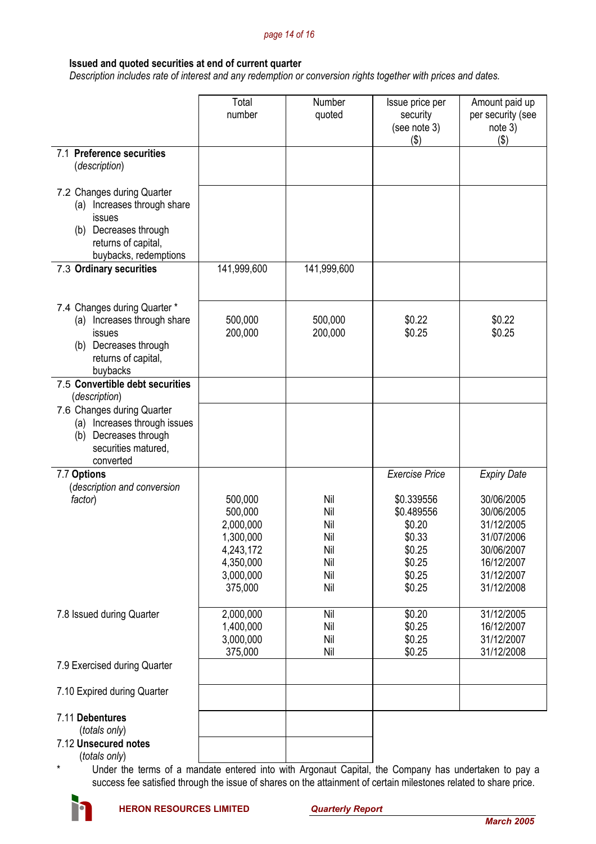#### *page 14 of 16*

### **Issued and quoted securities at end of current quarter**

 *Description includes rate of interest and any redemption or conversion rights together with prices and dates.* 

|                                                                                                                                              | Total<br>number                                                                                | Number<br>quoted                                     | Issue price per<br>security<br>(see note 3)<br>$($ \$)                               | Amount paid up<br>per security (see<br>note 3)<br>(3)                                                        |
|----------------------------------------------------------------------------------------------------------------------------------------------|------------------------------------------------------------------------------------------------|------------------------------------------------------|--------------------------------------------------------------------------------------|--------------------------------------------------------------------------------------------------------------|
| 7.1 Preference securities<br>(description)                                                                                                   |                                                                                                |                                                      |                                                                                      |                                                                                                              |
| 7.2 Changes during Quarter<br>(a) Increases through share<br>issues<br>(b) Decreases through<br>returns of capital,<br>buybacks, redemptions |                                                                                                |                                                      |                                                                                      |                                                                                                              |
| 7.3 Ordinary securities                                                                                                                      | 141,999,600                                                                                    | 141,999,600                                          |                                                                                      |                                                                                                              |
| 7.4 Changes during Quarter *<br>Increases through share<br>(a)<br>issues<br>Decreases through<br>(b)<br>returns of capital,<br>buybacks      | 500,000<br>200,000                                                                             | 500,000<br>200,000                                   | \$0.22<br>\$0.25                                                                     | \$0.22<br>\$0.25                                                                                             |
| 7.5 Convertible debt securities<br>(description)                                                                                             |                                                                                                |                                                      |                                                                                      |                                                                                                              |
| 7.6 Changes during Quarter<br>Increases through issues<br>(a)<br>Decreases through<br>(b)<br>securities matured,<br>converted                |                                                                                                |                                                      |                                                                                      |                                                                                                              |
| 7.7 Options<br>(description and conversion                                                                                                   |                                                                                                |                                                      | <b>Exercise Price</b>                                                                | <b>Expiry Date</b>                                                                                           |
| factor)                                                                                                                                      | 500,000<br>500,000<br>2,000,000<br>1,300,000<br>4,243,172<br>4,350,000<br>3,000,000<br>375,000 | Nil<br>Nil<br>Nil<br>Nil<br>Nil<br>Nil<br>Nil<br>Nil | \$0.339556<br>\$0.489556<br>\$0.20<br>\$0.33<br>\$0.25<br>\$0.25<br>\$0.25<br>\$0.25 | 30/06/2005<br>30/06/2005<br>31/12/2005<br>31/07/2006<br>30/06/2007<br>16/12/2007<br>31/12/2007<br>31/12/2008 |
| 7.8 Issued during Quarter                                                                                                                    | 2,000,000<br>1,400,000<br>3,000,000<br>375,000                                                 | Nil<br>Nil<br>Nil<br>Nil                             | \$0.20<br>\$0.25<br>\$0.25<br>\$0.25                                                 | 31/12/2005<br>16/12/2007<br>31/12/2007<br>31/12/2008                                                         |
| 7.9 Exercised during Quarter                                                                                                                 |                                                                                                |                                                      |                                                                                      |                                                                                                              |
| 7.10 Expired during Quarter                                                                                                                  |                                                                                                |                                                      |                                                                                      |                                                                                                              |
| 7.11 Debentures<br>(totals only)<br>7.12 Unsecured notes<br>$l$ totale only $l$                                                              |                                                                                                |                                                      |                                                                                      |                                                                                                              |

(*totals only*)

tals only)<br>Under the terms of a mandate entered into with Argonaut Capital, the Company has undertaken to pay a success fee satisfied through the issue of shares on the attainment of certain milestones related to share price.

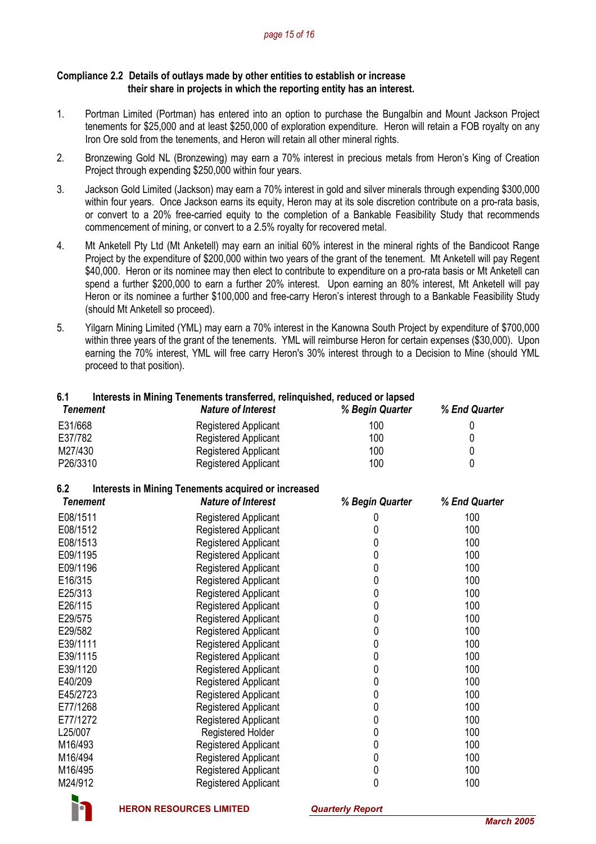#### *page 15 of 16*

#### **Compliance 2.2 Details of outlays made by other entities to establish or increase their share in projects in which the reporting entity has an interest.**

- 1. Portman Limited (Portman) has entered into an option to purchase the Bungalbin and Mount Jackson Project tenements for \$25,000 and at least \$250,000 of exploration expenditure. Heron will retain a FOB royalty on any Iron Ore sold from the tenements, and Heron will retain all other mineral rights.
- 2. Bronzewing Gold NL (Bronzewing) may earn a 70% interest in precious metals from Heron's King of Creation Project through expending \$250,000 within four years.
- 3. Jackson Gold Limited (Jackson) may earn a 70% interest in gold and silver minerals through expending \$300,000 within four years. Once Jackson earns its equity, Heron may at its sole discretion contribute on a pro-rata basis, or convert to a 20% free-carried equity to the completion of a Bankable Feasibility Study that recommends commencement of mining, or convert to a 2.5% royalty for recovered metal.
- 4. Mt Anketell Pty Ltd (Mt Anketell) may earn an initial 60% interest in the mineral rights of the Bandicoot Range Project by the expenditure of \$200,000 within two years of the grant of the tenement. Mt Anketell will pay Regent \$40,000. Heron or its nominee may then elect to contribute to expenditure on a pro-rata basis or Mt Anketell can spend a further \$200,000 to earn a further 20% interest. Upon earning an 80% interest, Mt Anketell will pay Heron or its nominee a further \$100,000 and free-carry Heron's interest through to a Bankable Feasibility Study (should Mt Anketell so proceed).
- 5. Yilgarn Mining Limited (YML) may earn a 70% interest in the Kanowna South Project by expenditure of \$700,000 within three years of the grant of the tenements. YML will reimburse Heron for certain expenses (\$30,000). Upon earning the 70% interest, YML will free carry Heron's 30% interest through to a Decision to Mine (should YML proceed to that position).

# **6.1 Interests in Mining Tenements transferred, relinquished, reduced or lapsed**

| Tenement | <b>Nature of Interest</b>   | % Begin Quarter | % End Quarter |
|----------|-----------------------------|-----------------|---------------|
| E31/668  | Registered Applicant        | 100             |               |
| E37/782  | Registered Applicant        | 100             |               |
| M27/430  | Registered Applicant        | 100             |               |
| P26/3310 | <b>Registered Applicant</b> | 100             |               |

# **6.2 Interests in Mining Tenements acquired or increased**

| Tenement | <b>Nature of Interest</b>   | % Begin Quarter | % End Quarter |
|----------|-----------------------------|-----------------|---------------|
| E08/1511 | <b>Registered Applicant</b> |                 | 100           |
| E08/1512 | Registered Applicant        | 0               | 100           |
| E08/1513 | Registered Applicant        | 0               | 100           |
| E09/1195 | <b>Registered Applicant</b> | 0               | 100           |
| E09/1196 | Registered Applicant        | 0               | 100           |
| E16/315  | <b>Registered Applicant</b> | 0               | 100           |
| E25/313  | Registered Applicant        | 0               | 100           |
| E26/115  | <b>Registered Applicant</b> | 0               | 100           |
| E29/575  | Registered Applicant        | 0               | 100           |
| E29/582  | Registered Applicant        | 0               | 100           |
| E39/1111 | Registered Applicant        | 0               | 100           |
| E39/1115 | Registered Applicant        | 0               | 100           |
| E39/1120 | Registered Applicant        | 0               | 100           |
| E40/209  | <b>Registered Applicant</b> | 0               | 100           |
| E45/2723 | Registered Applicant        | 0               | 100           |
| E77/1268 | <b>Registered Applicant</b> | 0               | 100           |
| E77/1272 | Registered Applicant        | 0               | 100           |
| L25/007  | Registered Holder           | 0               | 100           |
| M16/493  | Registered Applicant        | 0               | 100           |
| M16/494  | Registered Applicant        | 0               | 100           |
| M16/495  | Registered Applicant        | 0               | 100           |
| M24/912  | <b>Registered Applicant</b> | 0               | 100           |